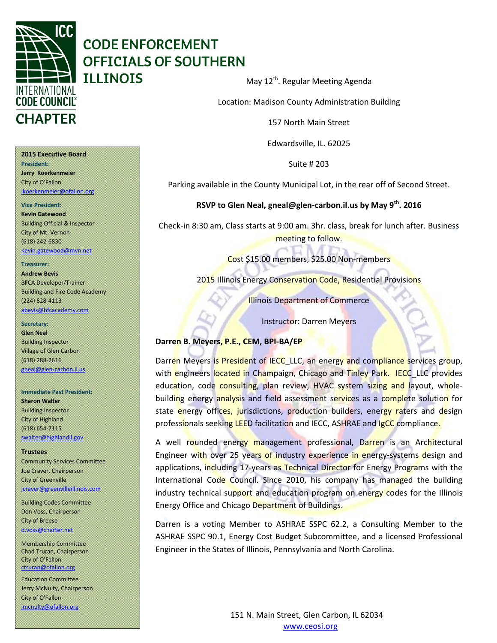

## **CODE ENFORCEMENT OFFICIALS OF SOUTHERN ILLINOIS**

May 12<sup>th</sup>. Regular Meeting Agenda

Location: Madison County Administration Building

157 North Main Street

Edwardsville, IL. 62025

Suite # 203

Parking available in the County Municipal Lot, in the rear off of Second Street.

**RSVP to Glen Neal, gneal@glen-carbon.il.us by May 9th. 2016**

Check-in 8:30 am, Class starts at 9:00 am. 3hr. class, break for lunch after. Business meeting to follow.

Cost \$15.00 members, \$25.00 Non-members

2015 Illinois Energy Conservation Code, Residential Provisions

Illinois Department of Commerce

Instructor: Darren Meyers

## **Darren B. Meyers, P.E., CEM, BPI-BA/EP**

Darren Meyers is President of IECC\_LLC, an energy and compliance services group, with engineers located in Champaign, Chicago and Tinley Park. IECC\_LLC provides education, code consulting, plan review, HVAC system sizing and layout, wholebuilding energy analysis and field assessment services as a complete solution for state energy offices, jurisdictions, production builders, energy raters and design professionals seeking LEED facilitation and IECC, ASHRAE and IgCC compliance.

A well rounded energy management professional, Darren is an Architectural Engineer with over 25 years of industry experience in energy-systems design and applications, including 17-years as Technical Director for Energy Programs with the International Code Council. Since 2010, his company has managed the building industry technical support and education program on energy codes for the Illinois Energy Office and Chicago Department of Buildings.

Darren is a voting Member to ASHRAE SSPC 62.2, a Consulting Member to the ASHRAE SSPC 90.1, Energy Cost Budget Subcommittee, and a licensed Professional Engineer in the States of Illinois, Pennsylvania and North Carolina.

#### **2015 Executive Board President:**

**Jerry Koerkenmeier** City of O'Fallon [jkoerkenmeier@ofallon.org](mailto:jkoerkenmeier@ofallon.org)

#### **Vice President:**

**Kevin Gatewood** Building Official & Inspector City of Mt. Vernon (618) 242-6830 [Kevin.gatewood@mvn.net](mailto:Kevin.gatewood@mvn.net)

#### **Treasurer:**

**Andrew Bevis** BFCA Developer/Trainer Building and Fire Code Academy (224) 828-4113 [abevis@bfcacademy.com](mailto:abevis@bfcacademy.com)

#### **Secretary:**

**Glen Neal** Building Inspector Village of Glen Carbon (618) 288-2616 gneal@glen-carbon.il.us

#### **Immediate Past President:**

**Sharon Walter** Building Inspector City of Highland (618) 654-7115 [swalter@highlandil.gov](mailto:swalter@highlandil.gov) 

#### **Trustees**

Community Services Committee Joe Craver, Chairperson City of Greenville [jcraver@greenvilleillinois.com](mailto:jcraver@greenvilleillinois.com)

Building Codes Committee Don Voss, Chairperson City of Breese [d.voss@charter.net](mailto:d.voss@charter.net)

Membership Committee Chad Truran, Chairperson City of O'Fallon [ctruran@ofallon.org](mailto:ctruran@ofallon.org)

Education Committee Jerry McNulty, Chairperson City of O'Fallon [jmcnulty@ofallon.org](mailto:jmcnulty@ofallon.org)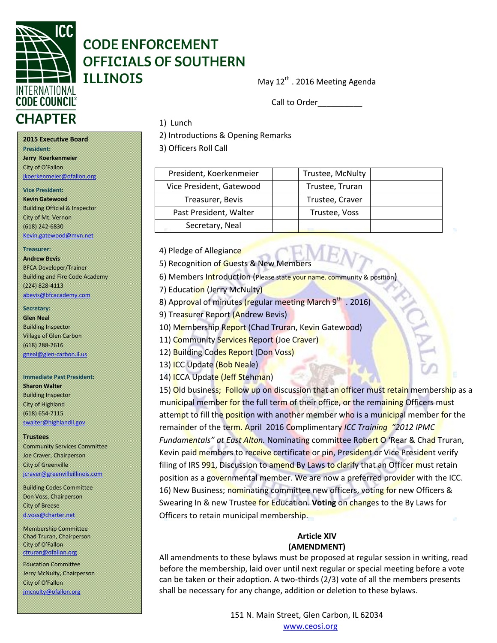

## **CODE ENFORCEMENT OFFICIALS OF SOUTHERN ILLINOIS**

May 12<sup>th</sup> . 2016 Meeting Agenda

Call to Order

## 1) Lunch

2) Introductions & Opening Remarks

3) Officers Roll Call

| President, Koerkenmeier  | Trustee, McNulty |
|--------------------------|------------------|
| Vice President, Gatewood | Trustee, Truran  |
| Treasurer, Bevis         | Trustee, Craver  |
| Past President, Walter   | Trustee, Voss    |
| Secretary, Neal          |                  |

4) Pledge of Allegiance

5) Recognition of Guests & New Members

6) Members Introduction (Please state your name. community & position)

7) Education (Jerry McNulty)

8) Approval of minutes (regular meeting March 9<sup>th</sup> . 2016)

9) Treasurer Report (Andrew Bevis)

10) Membership Report (Chad Truran, Kevin Gatewood)

11) Community Services Report (Joe Craver)

12) Building Codes Report (Don Voss)

13) ICC Update (Bob Neale)

14) ICCA Update (Jeff Stehman)

15) Old business; Follow up on discussion that an officer must retain membership as a municipal member for the full term of their office, or the remaining Officers must attempt to fill the position with another member who is a municipal member for the remainder of the term. April 2016 Complimentary *ICC Training "2012 IPMC Fundamentals" at East Alton.* Nominating committee Robert O 'Rear & Chad Truran, Kevin paid members to receive certificate or pin, President or Vice President verify filing of IRS 991, Discussion to amend By Laws to clarify that an Officer must retain position as a governmental member. We are now a preferred provider with the ICC. 16) New Business; nominating committee new officers, voting for new Officers & Swearing In & new Trustee for Education. **Voting** on changes to the By Laws for Officers to retain municipal membership.

## **Article XIV (AMENDMENT)**

All amendments to these bylaws must be proposed at regular session in writing, read before the membership, laid over until next regular or special meeting before a vote can be taken or their adoption. A two-thirds (2/3) vote of all the members presents shall be necessary for any change, addition or deletion to these bylaws.

> 151 N. Main Street, Glen Carbon, IL 62034 www.ceosi.org

**2015 Executive Board President: Jerry Koerkenmeier** City of O'Fallon [jkoerkenmeier@ofallon.org](mailto:jkoerkenmeier@ofallon.org)

## **Vice President:**

**Kevin Gatewood** Building Official & Inspector City of Mt. Vernon (618) 242-6830 [Kevin.gatewood@mvn.net](mailto:Kevin.gatewood@mvn.net)

#### **Treasurer:**

**Andrew Bevis** BFCA Developer/Trainer Building and Fire Code Academy (224) 828-4113 [abevis@bfcacademy.com](mailto:abevis@bfcacademy.com)

#### **Secretary:**

**Glen Neal** Building Inspector Village of Glen Carbon (618) 288-2616 [gneal@glen-carbon.il.us](mailto:gneal@glen-carbon.il.us) 

#### **Immediate Past President: Sharon Walter** Building Inspector City of Highland (618) 654-7115 [swalter@highlandil.gov](mailto:swalter@highlandil.gov)

#### **Trustees**

Community Services Committee Joe Craver, Chairperson City of Greenville [jcraver@greenvilleillinois.com](mailto:jcraver@greenvilleillinois.com)

Building Codes Committee Don Voss, Chairperson City of Breese [d.voss@charter.net](mailto:d.voss@charter.net)

Membership Committee Chad Truran, Chairperson City of O'Fallon [ctruran@ofallon.org](mailto:ctruran@ofallon.org)

Education Committee Jerry McNulty, Chairperson City of O'Fallon [jmcnulty@ofallon.org](mailto:jmcnulty@ofallon.org)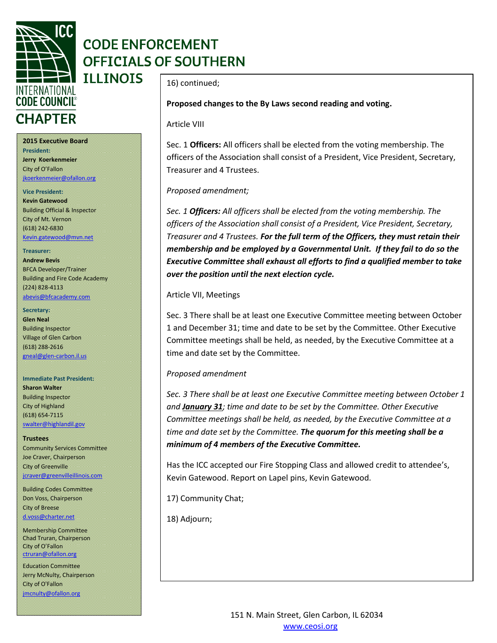

## **CODE ENFORCEMENT OFFICIALS OF SOUTHERN**

### **2015 Executive Board President: Jerry Koerkenmeier** City of O'Fallon

[jkoerkenmeier@ofallon.org](mailto:jkoerkenmeier@ofallon.org)

## **Vice President:**

**Kevin Gatewood** Building Official & Inspector City of Mt. Vernon (618) 242-6830 [Kevin.gatewood@mvn.net](mailto:Kevin.gatewood@mvn.net)

#### **Treasurer:**

**Andrew Bevis** BFCA Developer/Trainer Building and Fire Code Academy (224) 828-4113 [abevis@bfcacademy.com](mailto:abevis@bfcacademy.com)

#### **Secretary:**

**Glen Neal** Building Inspector Village of Glen Carbon (618) 288-2616 [gneal@glen-carbon.il.us](mailto:gneal@glen-carbon.il.us) 

#### **Immediate Past President:**

**Sharon Walter** Building Inspector City of Highland (618) 654-7115 [swalter@highlandil.gov](mailto:swalter@highlandil.gov) 

**Trustees** Community Services Committee Joe Craver, Chairperson City of Greenville [jcraver@greenvilleillinois.com](mailto:jcraver@greenvilleillinois.com)

Building Codes Committee Don Voss, Chairperson City of Breese [d.voss@charter.net](mailto:d.voss@charter.net)

Membership Committee Chad Truran, Chairperson City of O'Fallon [ctruran@ofallon.org](mailto:ctruran@ofallon.org)

Education Committee Jerry McNulty, Chairperson City of O'Fallon [jmcnulty@ofallon.org](mailto:jmcnulty@ofallon.org)

16) continued;

## **Proposed changes to the By Laws second reading and voting.**

### Article VIII

Sec. 1 **Officers:** All officers shall be elected from the voting membership. The officers of the Association shall consist of a President, Vice President, Secretary, Treasurer and 4 Trustees.

## *Proposed amendment;*

*Sec. 1 Officers: All officers shall be elected from the voting membership. The officers of the Association shall consist of a President, Vice President, Secretary, Treasurer and 4 Trustees. For the full term of the Officers, they must retain their membership and be employed by a Governmental Unit. If they fail to do so the Executive Committee shall exhaust all efforts to find a qualified member to take over the position until the next election cycle.*

### Article VII, Meetings

Sec. 3 There shall be at least one Executive Committee meeting between October 1 and December 31; time and date to be set by the Committee. Other Executive Committee meetings shall be held, as needed, by the Executive Committee at a time and date set by the Committee.

## *Proposed amendment*

*Sec. 3 There shall be at least one Executive Committee meeting between October 1 and January 31; time and date to be set by the Committee. Other Executive Committee meetings shall be held, as needed, by the Executive Committee at a time and date set by the Committee. The quorum for this meeting shall be a minimum of 4 members of the Executive Committee.*

Has the ICC accepted our Fire Stopping Class and allowed credit to attendee's, Kevin Gatewood. Report on Lapel pins, Kevin Gatewood.

17) Community Chat;

18) Adjourn;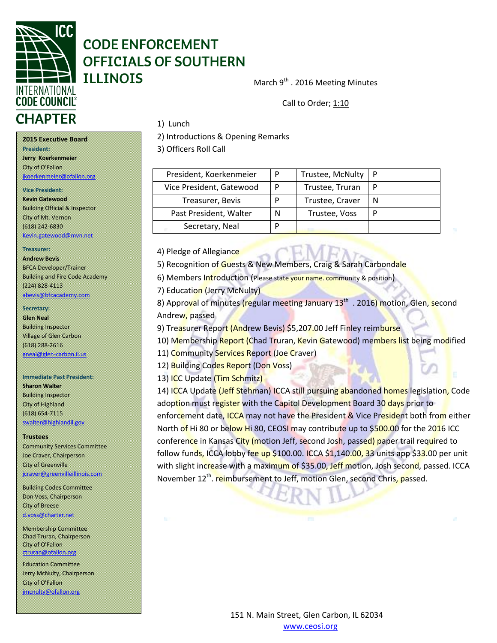

## **CODE ENFORCEMENT OFFICIALS OF SOUTHERN ILLINOIS**

1) Lunch

March 9<sup>th</sup> . 2016 Meeting Minutes

Call to Order; 1:10

# **CHAPTER**

**President:** 

**2015 Executive Board**

[jkoerkenmeier@ofallon.org](mailto:jkoerkenmeier@ofallon.org)

Building Official & Inspector City of Mt. Vernon (618) 242-6830

[Kevin.gatewood@mvn.net](mailto:Kevin.gatewood@mvn.net)

BFCA Developer/Trainer Building and Fire Code Academy

[abevis@bfcacademy.com](mailto:abevis@bfcacademy.com)

**Immediate Past President:** 

Community Services Committee Joe Craver, Chairperson City of Greenville

**Sharon Walter** Building Inspector City of Highland (618) 654-7115 [swalter@highlandil.gov](mailto:swalter@highlandil.gov) 

**Trustees**

City of Breese [d.voss@charter.net](mailto:d.voss@charter.net)

**Jerry Koerkenmeier** City of O'Fallon

**Vice President: Kevin Gatewood**

**Treasurer: Andrew Bevis**

(224) 828-4113

**Secretary: Glen Neal** Building Inspector Village of Glen Carbon (618) 288-2616 [gneal@glen-carbon.il.us](mailto:gneal@glen-carbon.il.us)  2) Introductions & Opening Remarks

3) Officers Roll Call

| President, Koerkenmeier  | P | Trustee, McNulty |  |
|--------------------------|---|------------------|--|
| Vice President, Gatewood |   | Trustee, Truran  |  |
| Treasurer, Bevis         |   | Trustee, Craver  |  |
| Past President, Walter   | N | Trustee, Voss    |  |
| Secretary, Neal          |   |                  |  |

4) Pledge of Allegiance

5) Recognition of Guests & New Members, Craig & Sarah Carbondale

6) Members Introduction (Please state your name. community & position)

7) Education (Jerry McNulty)

8) Approval of minutes (regular meeting January 13<sup>th</sup> . 2016) motion, Glen, second Andrew, passed

9) Treasurer Report (Andrew Bevis) \$5,207.00 Jeff Finley reimburse

10) Membership Report (Chad Truran, Kevin Gatewood) members list being modified

11) Community Services Report (Joe Craver)

12) Building Codes Report (Don Voss)

13) ICC Update (Tim Schmitz)

14) ICCA Update (Jeff Stehman) ICCA still pursuing abandoned homes legislation, Code adoption must register with the Capitol Development Board 30 days prior to enforcement date, ICCA may not have the President & Vice President both from either North of Hi 80 or below Hi 80, CEOSI may contribute up to \$500.00 for the 2016 ICC conference in Kansas City (motion Jeff, second Josh, passed) paper trail required to follow funds, ICCA lobby fee up \$100.00. ICCA \$1,140.00, 33 units app \$33.00 per unit with slight increase with a maximum of \$35.00, Jeff motion, Josh second, passed. ICCA November 12<sup>th</sup>. reimbursement to Jeff, motion Glen, second Chris, passed.

[jcraver@greenvilleillinois.com](mailto:jcraver@greenvilleillinois.com) Building Codes Committee Don Voss, Chairperson

Membership Committee Chad Truran, Chairperson City of O'Fallon [ctruran@ofallon.org](mailto:ctruran@ofallon.org)

Education Committee Jerry McNulty, Chairperson City of O'Fallon [jmcnulty@ofallon.org](mailto:jmcnulty@ofallon.org)